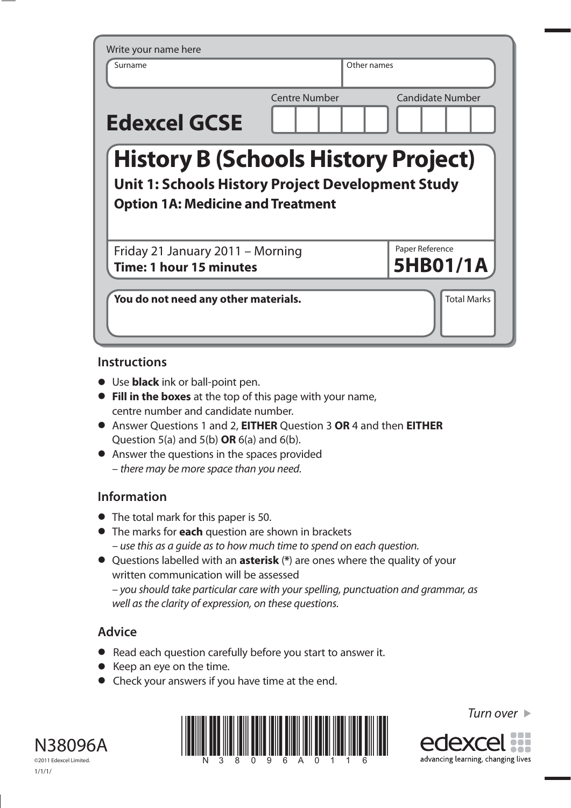| Write your name here<br>Surname                                                                                                             |                      | Other names                        |  |  |  |  |  |  |  |
|---------------------------------------------------------------------------------------------------------------------------------------------|----------------------|------------------------------------|--|--|--|--|--|--|--|
| <b>Edexcel GCSE</b>                                                                                                                         | <b>Centre Number</b> | <b>Candidate Number</b>            |  |  |  |  |  |  |  |
| <b>History B (Schools History Project)</b><br>Unit 1: Schools History Project Development Study<br><b>Option 1A: Medicine and Treatment</b> |                      |                                    |  |  |  |  |  |  |  |
| Friday 21 January 2011 - Morning<br><b>Time: 1 hour 15 minutes</b>                                                                          |                      | Paper Reference<br><b>5HB01/1A</b> |  |  |  |  |  |  |  |
| You do not need any other materials.                                                                                                        |                      | <b>Total Marks</b>                 |  |  |  |  |  |  |  |

## **Instructions**

- **•** Use **black** ink or ball-point pen.
- **• Fill in the boxes** at the top of this page with your name, centre number and candidate number.
- Answer Questions 1 and 2, **EITHER** Question 3 **OR** 4 and then **EITHER**  Question 5(a) and 5(b) **OR** 6(a) and 6(b).
- **•** Answer the questions in the spaces provided – there may be more space than you need.

# **Information**

- **•** The total mark for this paper is 50.
- **•** The marks for **each** question are shown in brackets – use this as a guide as to how much time to spend on each question.
- **•** Questions labelled with an **asterisk** (**\***) are ones where the quality of your written communication will be assessed – you should take particular care with your spelling, punctuation and grammar, as well as the clarity of expression, on these questions.

# **Advice**

- **•** Read each question carefully before you start to answer it.
- Read each question caref<br>• Keep an eye on the time.
- Keep an eye on the time.<br>• Check your answers if you have time at the end.





Turn over  $\blacktriangleright$ 

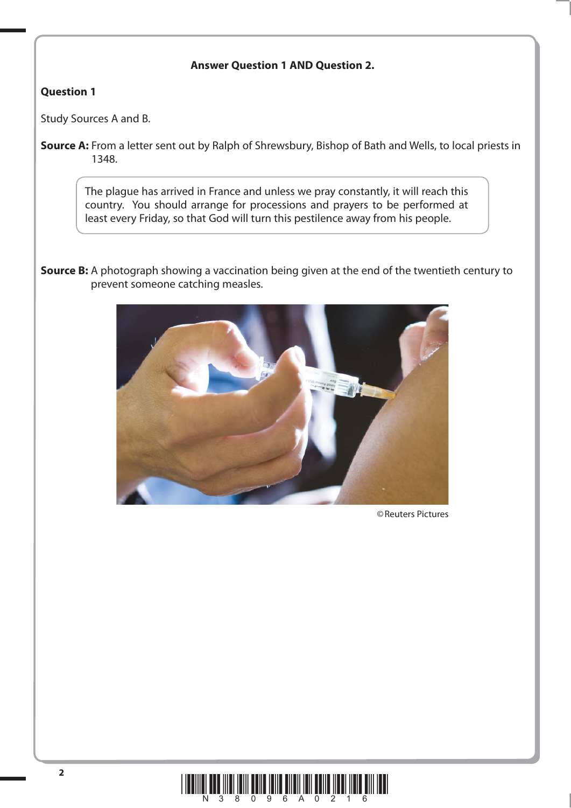## **Answer Question 1 AND Question 2.**

## **Question 1**

Study Sources A and B.

The plague has arrived in France and unless we pray constantly, it will reach this country. You should arrange for processions and prayers to be performed at least every Friday, so that God will turn this pestilence away from his people.

**Source B:** A photograph showing a vaccination being given at the end of the twentieth century to prevent someone catching measles.



©Reuters Pictures



**Source A:** From a letter sent out by Ralph of Shrewsbury, Bishop of Bath and Wells, to local priests in 1348.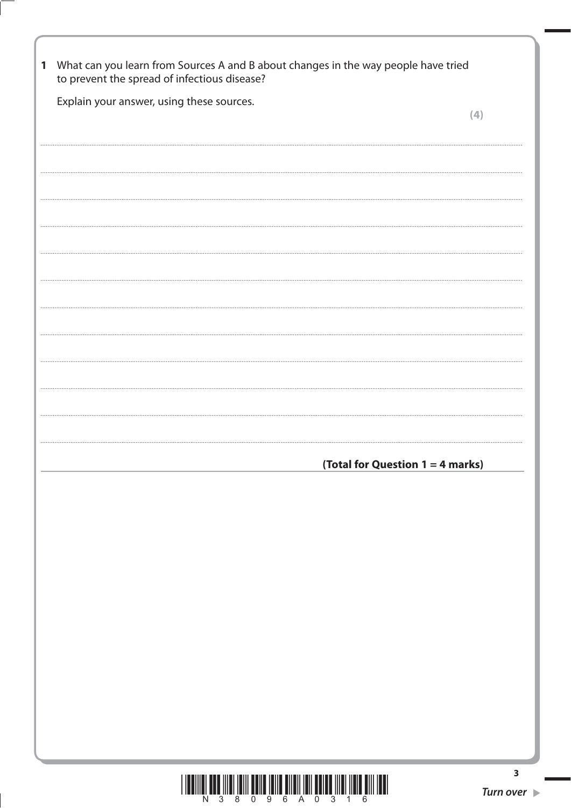| $\mathbf{1}$ | What can you learn from Sources A and B about changes in the way people have tried<br>to prevent the spread of infectious disease? |                         |
|--------------|------------------------------------------------------------------------------------------------------------------------------------|-------------------------|
|              | Explain your answer, using these sources.                                                                                          | (4)                     |
|              |                                                                                                                                    |                         |
|              |                                                                                                                                    |                         |
|              |                                                                                                                                    |                         |
|              |                                                                                                                                    |                         |
|              |                                                                                                                                    |                         |
|              |                                                                                                                                    |                         |
|              |                                                                                                                                    |                         |
|              | (Total for Question 1 = 4 marks)                                                                                                   |                         |
|              |                                                                                                                                    |                         |
|              |                                                                                                                                    |                         |
|              |                                                                                                                                    |                         |
|              |                                                                                                                                    |                         |
|              |                                                                                                                                    |                         |
|              |                                                                                                                                    |                         |
|              |                                                                                                                                    | $\overline{\mathbf{3}}$ |
|              | N 3 8 0 9 6 A 0<br>$3 \quad 1$<br>6                                                                                                | Turn over               |

-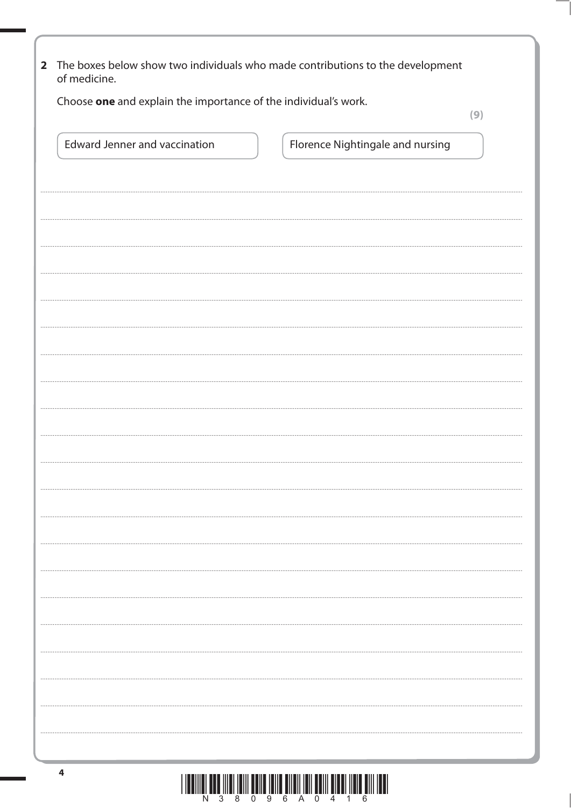| Choose one and explain the importance of the individual's work.<br>(9) |                                  |  |  |  |  |  |  |
|------------------------------------------------------------------------|----------------------------------|--|--|--|--|--|--|
| <b>Edward Jenner and vaccination</b>                                   | Florence Nightingale and nursing |  |  |  |  |  |  |
|                                                                        |                                  |  |  |  |  |  |  |
|                                                                        |                                  |  |  |  |  |  |  |
|                                                                        |                                  |  |  |  |  |  |  |
|                                                                        |                                  |  |  |  |  |  |  |
|                                                                        |                                  |  |  |  |  |  |  |
|                                                                        |                                  |  |  |  |  |  |  |
|                                                                        |                                  |  |  |  |  |  |  |
|                                                                        |                                  |  |  |  |  |  |  |
|                                                                        |                                  |  |  |  |  |  |  |
|                                                                        |                                  |  |  |  |  |  |  |
|                                                                        |                                  |  |  |  |  |  |  |
|                                                                        |                                  |  |  |  |  |  |  |
|                                                                        |                                  |  |  |  |  |  |  |
|                                                                        |                                  |  |  |  |  |  |  |
|                                                                        |                                  |  |  |  |  |  |  |
|                                                                        |                                  |  |  |  |  |  |  |
|                                                                        |                                  |  |  |  |  |  |  |
|                                                                        |                                  |  |  |  |  |  |  |
|                                                                        |                                  |  |  |  |  |  |  |
|                                                                        |                                  |  |  |  |  |  |  |
|                                                                        |                                  |  |  |  |  |  |  |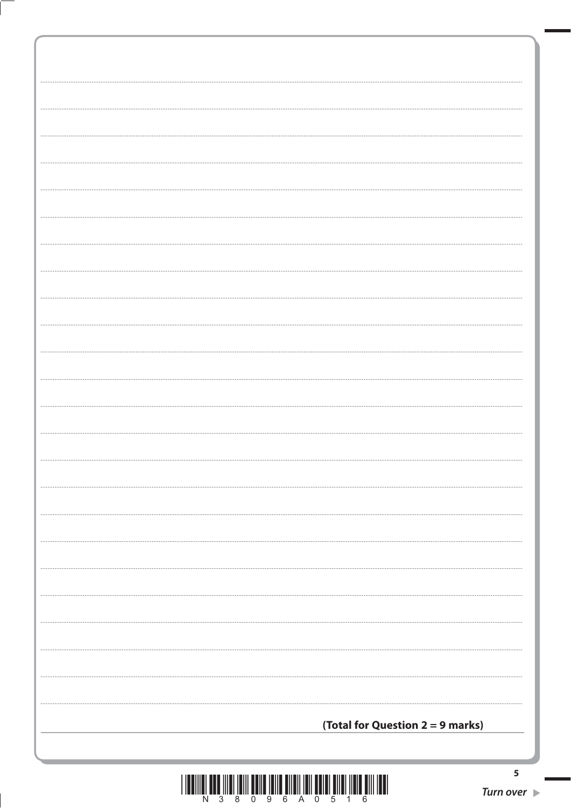| (Total for Question 2 = 9 marks) |  |
|----------------------------------|--|
|                                  |  |
| 5                                |  |

–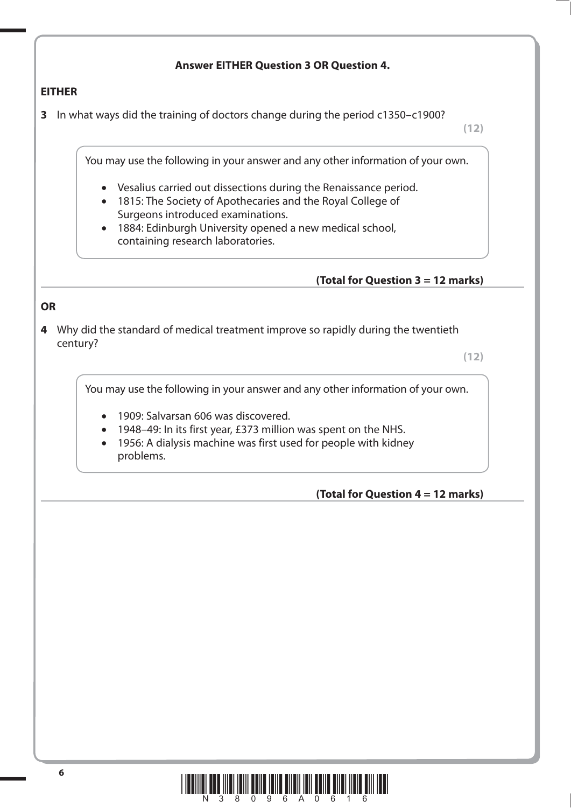# **Answer EITHER Question 3 OR Question 4.**

# **EITHER**

**3** In what ways did the training of doctors change during the period c1350–c1900?

**(12)**

You may use the following in your answer and any other information of your own.

- Vesalius carried out dissections during the Renaissance period.
- 1815: The Society of Apothecaries and the Royal College of Surgeons introduced examinations.
- 1884: Edinburgh University opened a new medical school, containing research laboratories.

#### **(Total for Question 3 = 12 marks)**

# **OR**

**4** Why did the standard of medical treatment improve so rapidly during the twentieth century?

**(12)**

You may use the following in your answer and any other information of your own.

- 1909: Salvarsan 606 was discovered.
- 1948–49: In its first year, £373 million was spent on the NHS.
- 1956: A dialysis machine was first used for people with kidney problems.

#### **(Total for Question 4 = 12 marks)**

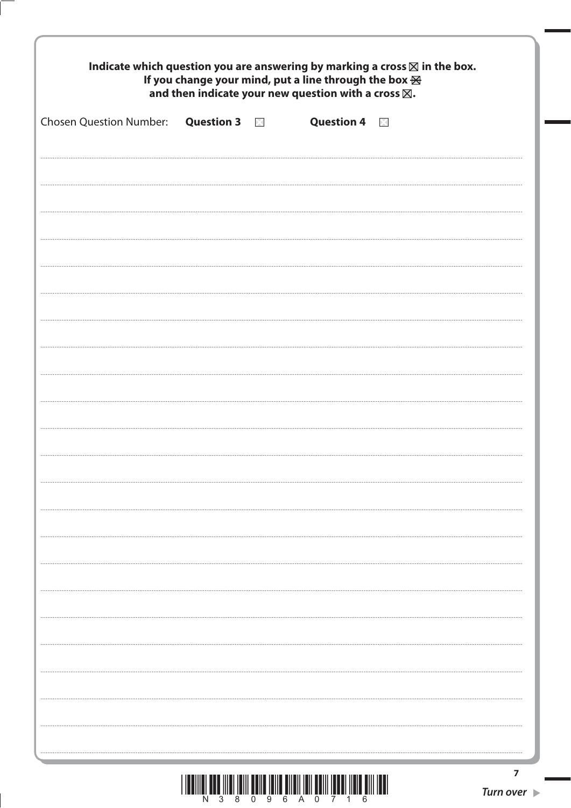| Indicate which question you are answering by marking a cross $\boxtimes$ in the box.<br>If you change your mind, put a line through the box $\boxtimes$<br>and then indicate your new question with a cross $\boxtimes$ . |  |  |            |  |                       |  |  |
|---------------------------------------------------------------------------------------------------------------------------------------------------------------------------------------------------------------------------|--|--|------------|--|-----------------------|--|--|
| Chosen Question Number: Question 3                                                                                                                                                                                        |  |  | Question 4 |  |                       |  |  |
|                                                                                                                                                                                                                           |  |  |            |  |                       |  |  |
|                                                                                                                                                                                                                           |  |  |            |  |                       |  |  |
|                                                                                                                                                                                                                           |  |  |            |  |                       |  |  |
|                                                                                                                                                                                                                           |  |  |            |  |                       |  |  |
|                                                                                                                                                                                                                           |  |  |            |  |                       |  |  |
|                                                                                                                                                                                                                           |  |  |            |  |                       |  |  |
|                                                                                                                                                                                                                           |  |  |            |  |                       |  |  |
|                                                                                                                                                                                                                           |  |  |            |  |                       |  |  |
|                                                                                                                                                                                                                           |  |  |            |  |                       |  |  |
|                                                                                                                                                                                                                           |  |  |            |  |                       |  |  |
|                                                                                                                                                                                                                           |  |  |            |  |                       |  |  |
|                                                                                                                                                                                                                           |  |  |            |  |                       |  |  |
|                                                                                                                                                                                                                           |  |  |            |  |                       |  |  |
|                                                                                                                                                                                                                           |  |  |            |  |                       |  |  |
|                                                                                                                                                                                                                           |  |  |            |  |                       |  |  |
|                                                                                                                                                                                                                           |  |  |            |  |                       |  |  |
|                                                                                                                                                                                                                           |  |  |            |  |                       |  |  |
|                                                                                                                                                                                                                           |  |  |            |  |                       |  |  |
|                                                                                                                                                                                                                           |  |  |            |  |                       |  |  |
|                                                                                                                                                                                                                           |  |  |            |  | 7<br><b>Turn over</b> |  |  |

–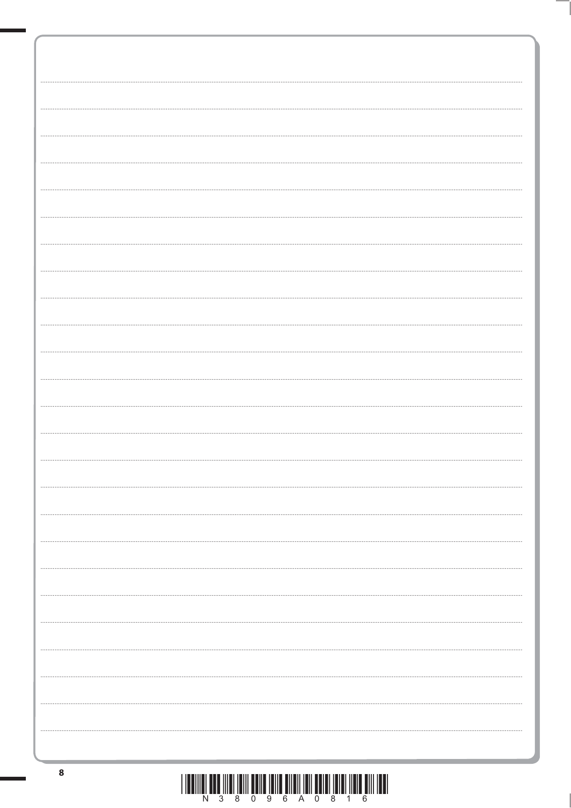| 8 |  |
|---|--|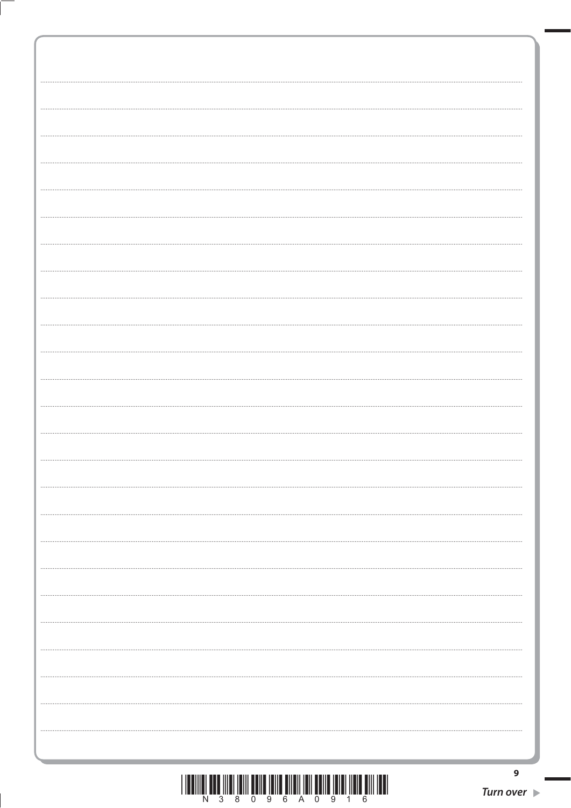| <u>i isanisi ada iliki ishi asla isha shiril ish asla ishi ilad alil isa</u> |  |  |  |                       |  |  |
|------------------------------------------------------------------------------|--|--|--|-----------------------|--|--|
|                                                                              |  |  |  | N 3 8 0 9 6 A 0 9 1 6 |  |  |

 $\ddotsc$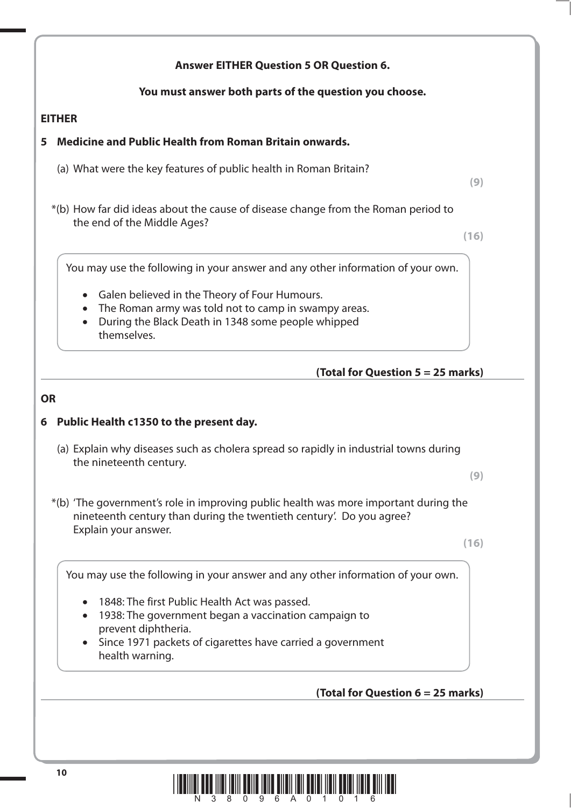## **Answer EITHER Question 5 OR Question 6.**

#### **You must answer both parts of the question you choose.**

#### **EITHER**

## **5 Medicine and Public Health from Roman Britain onwards.**

(a) What were the key features of public health in Roman Britain?

**(9)**

 \*(b) How far did ideas about the cause of disease change from the Roman period to the end of the Middle Ages?

**(16)**

You may use the following in your answer and any other information of your own.

- Galen believed in the Theory of Four Humours.
- The Roman army was told not to camp in swampy areas.
- During the Black Death in 1348 some people whipped themselves.

#### **(Total for Question 5 = 25 marks)**

#### **OR**

#### **6 Public Health c1350 to the present day.**

 (a) Explain why diseases such as cholera spread so rapidly in industrial towns during the nineteenth century.

**(9)**

 \*(b) 'The government's role in improving public health was more important during the nineteenth century than during the twentieth century'. Do you agree? Explain your answer.

**(16)**

You may use the following in your answer and any other information of your own.

- 1848: The first Public Health Act was passed.
- 1938: The government began a vaccination campaign to prevent diphtheria.
- Since 1971 packets of cigarettes have carried a government health warning.

#### **(Total for Question 6 = 25 marks)**

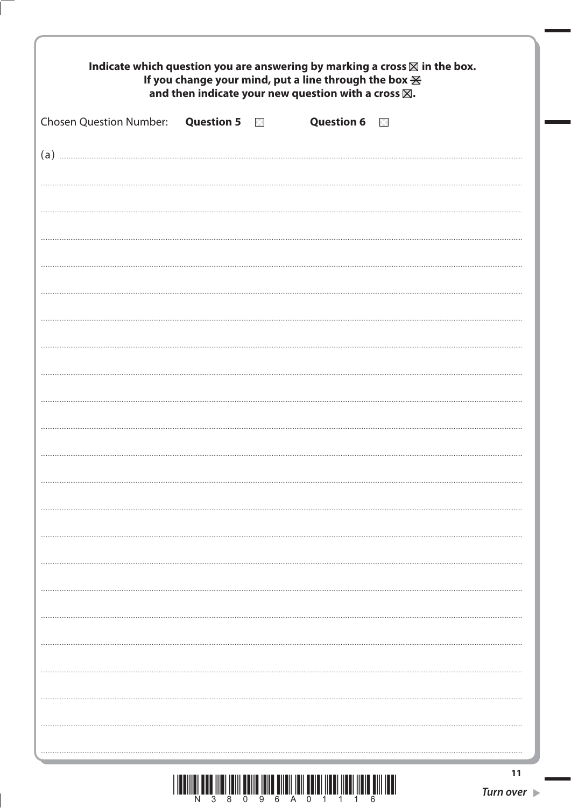| Indicate which question you are answering by marking a cross $\boxtimes$ in the box.<br>If you change your mind, put a line through the box $\boxtimes$<br>and then indicate your new question with a cross $\boxtimes$ . |                   |         |                                                                                     |   |                        |  |  |
|---------------------------------------------------------------------------------------------------------------------------------------------------------------------------------------------------------------------------|-------------------|---------|-------------------------------------------------------------------------------------|---|------------------------|--|--|
| Chosen Question Number: Question 5 2 Question 6 2                                                                                                                                                                         |                   |         |                                                                                     |   |                        |  |  |
|                                                                                                                                                                                                                           |                   |         |                                                                                     |   |                        |  |  |
|                                                                                                                                                                                                                           |                   |         |                                                                                     |   |                        |  |  |
|                                                                                                                                                                                                                           |                   |         |                                                                                     |   |                        |  |  |
|                                                                                                                                                                                                                           |                   |         |                                                                                     |   |                        |  |  |
|                                                                                                                                                                                                                           |                   |         |                                                                                     |   |                        |  |  |
|                                                                                                                                                                                                                           |                   |         |                                                                                     |   |                        |  |  |
|                                                                                                                                                                                                                           |                   |         |                                                                                     |   |                        |  |  |
|                                                                                                                                                                                                                           |                   |         |                                                                                     |   |                        |  |  |
|                                                                                                                                                                                                                           |                   |         |                                                                                     |   |                        |  |  |
|                                                                                                                                                                                                                           |                   |         |                                                                                     |   |                        |  |  |
|                                                                                                                                                                                                                           |                   |         |                                                                                     |   |                        |  |  |
|                                                                                                                                                                                                                           |                   |         |                                                                                     |   |                        |  |  |
|                                                                                                                                                                                                                           |                   |         |                                                                                     |   |                        |  |  |
|                                                                                                                                                                                                                           |                   |         |                                                                                     |   |                        |  |  |
|                                                                                                                                                                                                                           |                   |         |                                                                                     |   |                        |  |  |
|                                                                                                                                                                                                                           |                   |         |                                                                                     |   |                        |  |  |
|                                                                                                                                                                                                                           |                   |         |                                                                                     |   |                        |  |  |
|                                                                                                                                                                                                                           |                   |         |                                                                                     |   |                        |  |  |
|                                                                                                                                                                                                                           |                   |         |                                                                                     |   |                        |  |  |
|                                                                                                                                                                                                                           | ║║                |         | <u> III I III I DIIL IBII DIILI III DIILI II DII II II DIILI II DIILI III DIILI</u> |   | 11<br><b>Turn over</b> |  |  |
|                                                                                                                                                                                                                           | $3 \quad 8$<br>N. | 0 9 6 A | 0<br>$1 \quad 1$<br>$1 \quad$                                                       | 6 |                        |  |  |

–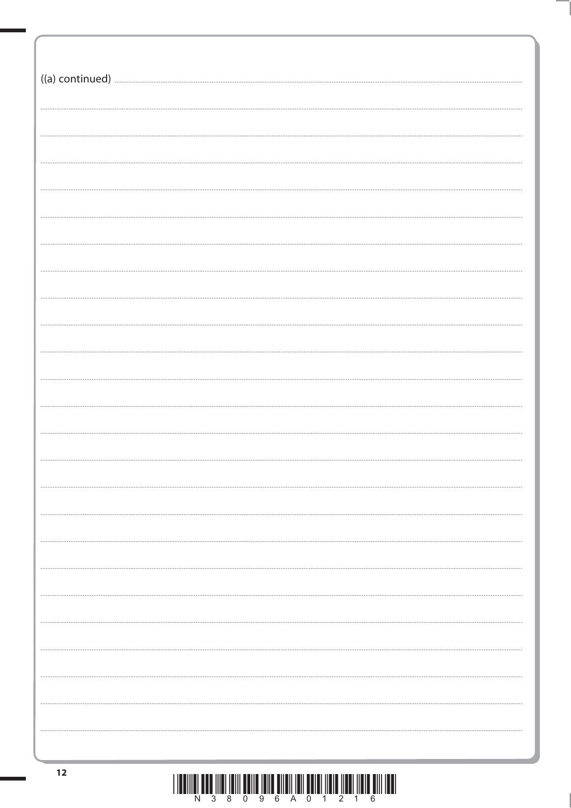| 12 | <u>. בשם הרום שושרו בשמור שושרו בשושם וזמר ובשווש שוושר שוושם וזומר בשוור שמס ושווששו ו</u> |
|----|---------------------------------------------------------------------------------------------|

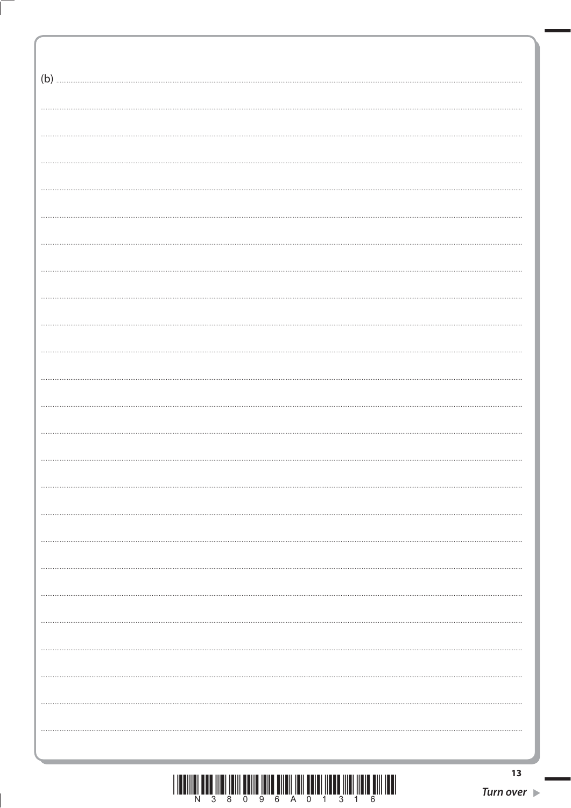| N 3 8 0 9 6 A 0 1 3 1 6 |  |  |  |  |  |  |
|-------------------------|--|--|--|--|--|--|

|     | 13 |
|-----|----|
|     |    |
|     |    |
|     |    |
|     |    |
|     |    |
|     |    |
|     |    |
|     |    |
|     |    |
|     |    |
|     |    |
|     |    |
|     |    |
|     |    |
|     |    |
|     |    |
|     |    |
|     |    |
|     |    |
|     |    |
|     |    |
|     |    |
|     |    |
|     |    |
|     |    |
|     |    |
| (b) |    |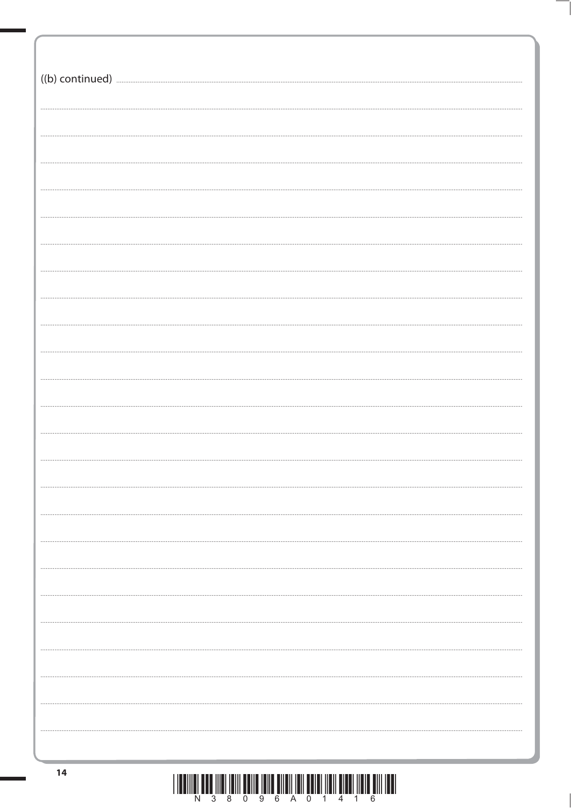| 14<br>$\begin{array}{c} \text{if} \ \text{if} \ \text{if} \ \text{if} \ \text{if} \ \text{if} \ \text{if} \ \text{if} \ \text{if} \ \text{if} \ \text{if} \ \text{if} \ \text{if} \ \text{if} \ \text{if} \ \text{if} \ \text{if} \ \text{if} \ \text{if} \ \text{if} \ \text{if} \ \text{if} \ \text{if} \ \text{if} \ \text{if} \ \text{if} \ \text{if} \ \text{if} \ \text{if} \ \text{if} \ \text{if} \ \text{if} \ \text{if} \ \text{if} \ \text{if} \ \text{$ |  |  |  |  |  |
|---------------------------------------------------------------------------------------------------------------------------------------------------------------------------------------------------------------------------------------------------------------------------------------------------------------------------------------------------------------------------------------------------------------------------------------------------------------------|--|--|--|--|--|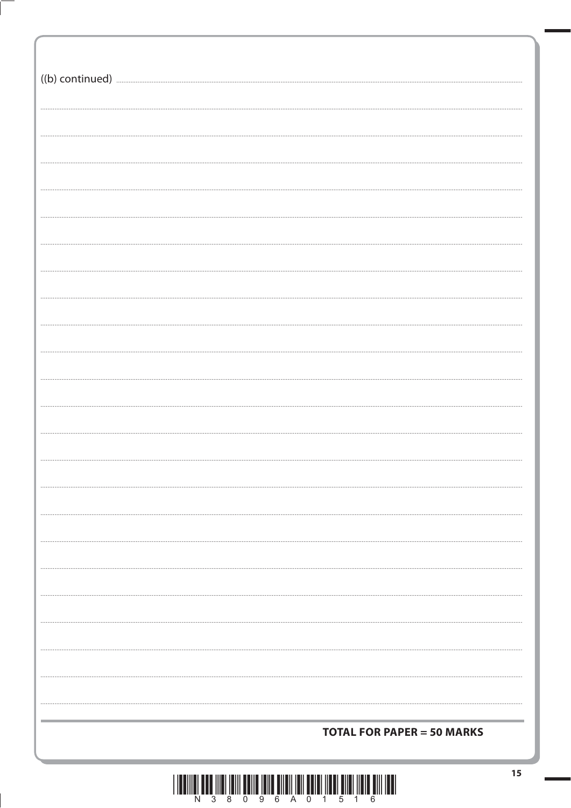| <u> ITENIA SERIA INDIANA SERIA SERIA SERIA SERIA SERIA SERIA SERIA SERIA SERIA SERIA SERIA SERIA SERIA SERIA SER</u> |  |  |  |                         |  |  |  |
|----------------------------------------------------------------------------------------------------------------------|--|--|--|-------------------------|--|--|--|
|                                                                                                                      |  |  |  | N 3 8 0 9 6 A 0 1 5 1 6 |  |  |  |

| <b>TOTAL FOR PAPER = 50 MARKS</b> |
|-----------------------------------|